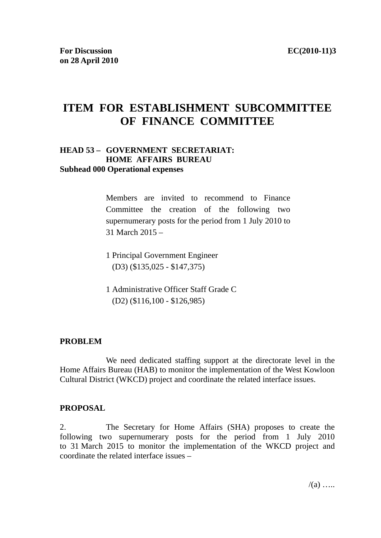# **ITEM FOR ESTABLISHMENT SUBCOMMITTEE OF FINANCE COMMITTEE**

#### **HEAD 53 – GOVERNMENT SECRETARIAT: HOME AFFAIRS BUREAU Subhead 000 Operational expenses**

Members are invited to recommend to Finance Committee the creation of the following two supernumerary posts for the period from 1 July 2010 to 31 March 2015 –

1 Principal Government Engineer (D3) (\$135,025 - \$147,375)

1 Administrative Officer Staff Grade C (D2) (\$116,100 - \$126,985)

#### **PROBLEM**

 We need dedicated staffing support at the directorate level in the Home Affairs Bureau (HAB) to monitor the implementation of the West Kowloon Cultural District (WKCD) project and coordinate the related interface issues.

#### **PROPOSAL**

2. The Secretary for Home Affairs (SHA) proposes to create the following two supernumerary posts for the period from 1 July 2010 to 31 March 2015 to monitor the implementation of the WKCD project and coordinate the related interface issues –

 $/(a)$  …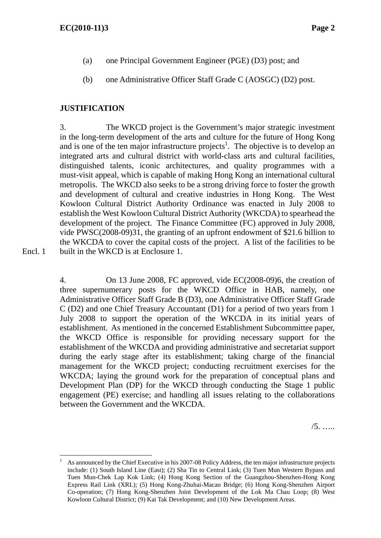- (a) one Principal Government Engineer (PGE) (D3) post; and
- (b) one Administrative Officer Staff Grade C (AOSGC) (D2) post.

# **JUSTIFICATION**

3. The WKCD project is the Government's major strategic investment in the long-term development of the arts and culture for the future of Hong Kong and is one of the ten major infrastructure projects<sup>1</sup>. The objective is to develop an integrated arts and cultural district with world-class arts and cultural facilities, distinguished talents, iconic architectures, and quality programmes with a must-visit appeal, which is capable of making Hong Kong an international cultural metropolis. The WKCD also seeks to be a strong driving force to foster the growth and development of cultural and creative industries in Hong Kong. The West Kowloon Cultural District Authority Ordinance was enacted in July 2008 to establish the West Kowloon Cultural District Authority (WKCDA) to spearhead the development of the project. The Finance Committee (FC) approved in July 2008, vide PWSC(2008-09)31, the granting of an upfront endowment of \$21.6 billion to the WKCDA to cover the capital costs of the project. A list of the facilities to be built in the WKCD is at Enclosure 1.

Encl. 1

 $\overline{a}$ 

4. On 13 June 2008, FC approved, vide EC(2008-09)6, the creation of three supernumerary posts for the WKCD Office in HAB, namely, one Administrative Officer Staff Grade B (D3), one Administrative Officer Staff Grade C (D2) and one Chief Treasury Accountant (D1) for a period of two years from 1 July 2008 to support the operation of the WKCDA in its initial years of establishment. As mentioned in the concerned Establishment Subcommittee paper, the WKCD Office is responsible for providing necessary support for the establishment of the WKCDA and providing administrative and secretariat support during the early stage after its establishment; taking charge of the financial management for the WKCD project; conducting recruitment exercises for the WKCDA; laying the ground work for the preparation of conceptual plans and Development Plan (DP) for the WKCD through conducting the Stage 1 public engagement (PE) exercise; and handling all issues relating to the collaborations between the Government and the WKCDA.

/5. …..

<sup>1</sup> As announced by the Chief Executive in his 2007-08 Policy Address, the ten major infrastructure projects include: (1) South Island Line (East); (2) Sha Tin to Central Link; (3) Tuen Mun Western Bypass and Tuen Mun-Chek Lap Kok Link; (4) Hong Kong Section of the Guangzhou-Shenzhen-Hong Kong Express Rail Link (XRL); (5) Hong Kong-Zhuhai-Macao Bridge; (6) Hong Kong-Shenzhen Airport Co-operation; (7) Hong Kong-Shenzhen Joint Development of the Lok Ma Chau Loop; (8) West Kowloon Cultural District; (9) Kai Tak Development; and (10) New Development Areas.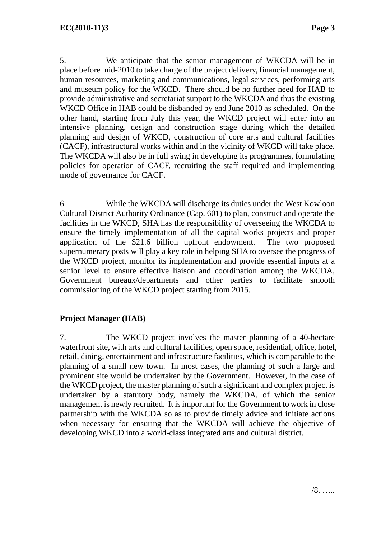5. We anticipate that the senior management of WKCDA will be in place before mid-2010 to take charge of the project delivery, financial management, human resources, marketing and communications, legal services, performing arts and museum policy for the WKCD. There should be no further need for HAB to provide administrative and secretariat support to the WKCDA and thus the existing WKCD Office in HAB could be disbanded by end June 2010 as scheduled. On the other hand, starting from July this year, the WKCD project will enter into an intensive planning, design and construction stage during which the detailed planning and design of WKCD, construction of core arts and cultural facilities (CACF), infrastructural works within and in the vicinity of WKCD will take place. The WKCDA will also be in full swing in developing its programmes, formulating policies for operation of CACF, recruiting the staff required and implementing mode of governance for CACF.

6. While the WKCDA will discharge its duties under the West Kowloon Cultural District Authority Ordinance (Cap. 601) to plan, construct and operate the facilities in the WKCD, SHA has the responsibility of overseeing the WKCDA to ensure the timely implementation of all the capital works projects and proper application of the \$21.6 billion upfront endowment. The two proposed supernumerary posts will play a key role in helping SHA to oversee the progress of the WKCD project, monitor its implementation and provide essential inputs at a senior level to ensure effective liaison and coordination among the WKCDA, Government bureaux/departments and other parties to facilitate smooth commissioning of the WKCD project starting from 2015.

# **Project Manager (HAB)**

7. The WKCD project involves the master planning of a 40-hectare waterfront site, with arts and cultural facilities, open space, residential, office, hotel, retail, dining, entertainment and infrastructure facilities, which is comparable to the planning of a small new town. In most cases, the planning of such a large and prominent site would be undertaken by the Government. However, in the case of the WKCD project, the master planning of such a significant and complex project is undertaken by a statutory body, namely the WKCDA, of which the senior management is newly recruited. It is important for the Government to work in close partnership with the WKCDA so as to provide timely advice and initiate actions when necessary for ensuring that the WKCDA will achieve the objective of developing WKCD into a world-class integrated arts and cultural district.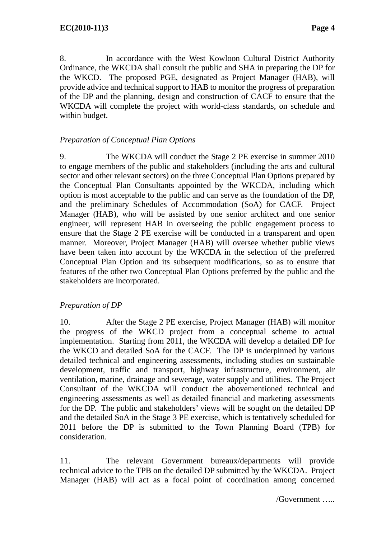8. In accordance with the West Kowloon Cultural District Authority Ordinance, the WKCDA shall consult the public and SHA in preparing the DP for the WKCD. The proposed PGE, designated as Project Manager (HAB), will provide advice and technical support to HAB to monitor the progress of preparation of the DP and the planning, design and construction of CACF to ensure that the WKCDA will complete the project with world-class standards, on schedule and within budget.

# *Preparation of Conceptual Plan Options*

9. The WKCDA will conduct the Stage 2 PE exercise in summer 2010 to engage members of the public and stakeholders (including the arts and cultural sector and other relevant sectors) on the three Conceptual Plan Options prepared by the Conceptual Plan Consultants appointed by the WKCDA, including which option is most acceptable to the public and can serve as the foundation of the DP, and the preliminary Schedules of Accommodation (SoA) for CACF. Project Manager (HAB), who will be assisted by one senior architect and one senior engineer, will represent HAB in overseeing the public engagement process to ensure that the Stage 2 PE exercise will be conducted in a transparent and open manner. Moreover, Project Manager (HAB) will oversee whether public views have been taken into account by the WKCDA in the selection of the preferred Conceptual Plan Option and its subsequent modifications, so as to ensure that features of the other two Conceptual Plan Options preferred by the public and the stakeholders are incorporated.

# *Preparation of DP*

10. After the Stage 2 PE exercise, Project Manager (HAB) will monitor the progress of the WKCD project from a conceptual scheme to actual implementation. Starting from 2011, the WKCDA will develop a detailed DP for the WKCD and detailed SoA for the CACF. The DP is underpinned by various detailed technical and engineering assessments, including studies on sustainable development, traffic and transport, highway infrastructure, environment, air ventilation, marine, drainage and sewerage, water supply and utilities. The Project Consultant of the WKCDA will conduct the abovementioned technical and engineering assessments as well as detailed financial and marketing assessments for the DP. The public and stakeholders' views will be sought on the detailed DP and the detailed SoA in the Stage 3 PE exercise, which is tentatively scheduled for 2011 before the DP is submitted to the Town Planning Board (TPB) for consideration.

11. The relevant Government bureaux/departments will provide technical advice to the TPB on the detailed DP submitted by the WKCDA. Project Manager (HAB) will act as a focal point of coordination among concerned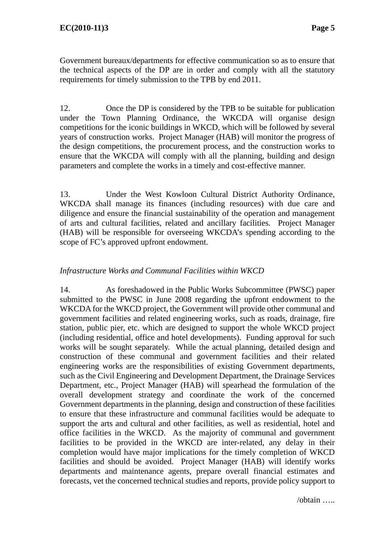Government bureaux/departments for effective communication so as to ensure that the technical aspects of the DP are in order and comply with all the statutory requirements for timely submission to the TPB by end 2011.

12. Once the DP is considered by the TPB to be suitable for publication under the Town Planning Ordinance, the WKCDA will organise design competitions for the iconic buildings in WKCD, which will be followed by several years of construction works. Project Manager (HAB) will monitor the progress of the design competitions, the procurement process, and the construction works to ensure that the WKCDA will comply with all the planning, building and design parameters and complete the works in a timely and cost-effective manner.

13. Under the West Kowloon Cultural District Authority Ordinance, WKCDA shall manage its finances (including resources) with due care and diligence and ensure the financial sustainability of the operation and management of arts and cultural facilities, related and ancillary facilities. Project Manager (HAB) will be responsible for overseeing WKCDA's spending according to the scope of FC's approved upfront endowment.

# *Infrastructure Works and Communal Facilities within WKCD*

14. As foreshadowed in the Public Works Subcommittee (PWSC) paper submitted to the PWSC in June 2008 regarding the upfront endowment to the WKCDA for the WKCD project, the Government will provide other communal and government facilities and related engineering works, such as roads, drainage, fire station, public pier, etc. which are designed to support the whole WKCD project (including residential, office and hotel developments). Funding approval for such works will be sought separately. While the actual planning, detailed design and construction of these communal and government facilities and their related engineering works are the responsibilities of existing Government departments, such as the Civil Engineering and Development Department, the Drainage Services Department, etc., Project Manager (HAB) will spearhead the formulation of the overall development strategy and coordinate the work of the concerned Government departments in the planning, design and construction of these facilities to ensure that these infrastructure and communal facilities would be adequate to support the arts and cultural and other facilities, as well as residential, hotel and office facilities in the WKCD. As the majority of communal and government facilities to be provided in the WKCD are inter-related, any delay in their completion would have major implications for the timely completion of WKCD facilities and should be avoided. Project Manager (HAB) will identify works departments and maintenance agents, prepare overall financial estimates and forecasts, vet the concerned technical studies and reports, provide policy support to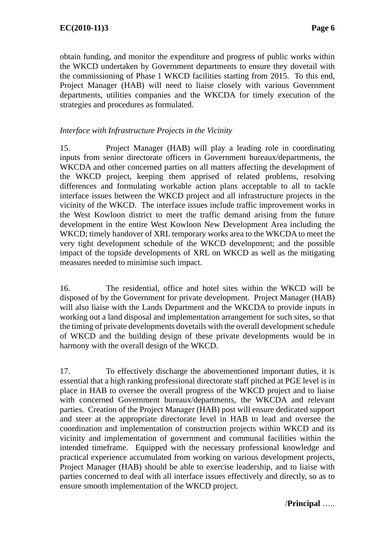obtain funding, and monitor the expenditure and progress of public works within the WKCD undertaken by Government departments to ensure they dovetail with the commissioning of Phase 1 WKCD facilities starting from 2015. To this end, Project Manager (HAB) will need to liaise closely with various Government departments, utilities companies and the WKCDA for timely execution of the strategies and procedures as formulated.

### *Interface with Infrastructure Projects in the Vicinity*

15. Project Manager (HAB) will play a leading role in coordinating inputs from senior directorate officers in Government bureaux/departments, the WKCDA and other concerned parties on all matters affecting the development of the WKCD project, keeping them apprised of related problems, resolving differences and formulating workable action plans acceptable to all to tackle interface issues between the WKCD project and all infrastructure projects in the vicinity of the WKCD. The interface issues include traffic improvement works in the West Kowloon district to meet the traffic demand arising from the future development in the entire West Kowloon New Development Area including the WKCD; timely handover of XRL temporary works area to the WKCDA to meet the very tight development schedule of the WKCD development; and the possible impact of the topside developments of XRL on WKCD as well as the mitigating measures needed to minimise such impact.

16. The residential, office and hotel sites within the WKCD will be disposed of by the Government for private development. Project Manager (HAB) will also liaise with the Lands Department and the WKCDA to provide inputs in working out a land disposal and implementation arrangement for such sites, so that the timing of private developments dovetails with the overall development schedule of WKCD and the building design of these private developments would be in harmony with the overall design of the WKCD.

17. To effectively discharge the abovementioned important duties, it is essential that a high ranking professional directorate staff pitched at PGE level is in place in HAB to oversee the overall progress of the WKCD project and to liaise with concerned Government bureaux/departments, the WKCDA and relevant parties. Creation of the Project Manager (HAB) post will ensure dedicated support and steer at the appropriate directorate level in HAB to lead and oversee the coordination and implementation of construction projects within WKCD and its vicinity and implementation of government and communal facilities within the intended timeframe. Equipped with the necessary professional knowledge and practical experience accumulated from working on various development projects, Project Manager (HAB) should be able to exercise leadership, and to liaise with parties concerned to deal with all interface issues effectively and directly, so as to ensure smooth implementation of the WKCD project.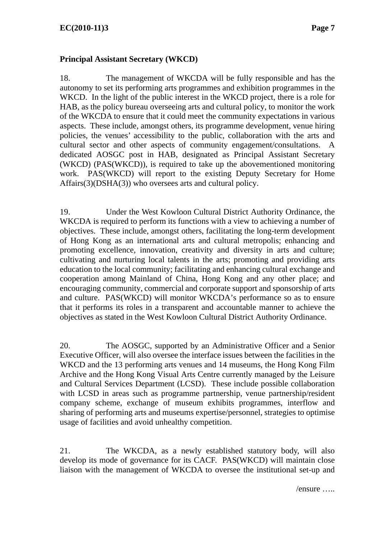#### **Principal Assistant Secretary (WKCD)**

18. The management of WKCDA will be fully responsible and has the autonomy to set its performing arts programmes and exhibition programmes in the WKCD. In the light of the public interest in the WKCD project, there is a role for HAB, as the policy bureau overseeing arts and cultural policy, to monitor the work of the WKCDA to ensure that it could meet the community expectations in various aspects. These include, amongst others, its programme development, venue hiring policies, the venues' accessibility to the public, collaboration with the arts and cultural sector and other aspects of community engagement/consultations. dedicated AOSGC post in HAB, designated as Principal Assistant Secretary (WKCD) (PAS(WKCD)), is required to take up the abovementioned monitoring work. PAS(WKCD) will report to the existing Deputy Secretary for Home Affairs(3)(DSHA(3)) who oversees arts and cultural policy.

19. Under the West Kowloon Cultural District Authority Ordinance, the WKCDA is required to perform its functions with a view to achieving a number of objectives. These include, amongst others, facilitating the long-term development of Hong Kong as an international arts and cultural metropolis; enhancing and promoting excellence, innovation, creativity and diversity in arts and culture; cultivating and nurturing local talents in the arts; promoting and providing arts education to the local community; facilitating and enhancing cultural exchange and cooperation among Mainland of China, Hong Kong and any other place; and encouraging community, commercial and corporate support and sponsorship of arts and culture. PAS(WKCD) will monitor WKCDA's performance so as to ensure that it performs its roles in a transparent and accountable manner to achieve the objectives as stated in the West Kowloon Cultural District Authority Ordinance.

20. The AOSGC, supported by an Administrative Officer and a Senior Executive Officer, will also oversee the interface issues between the facilities in the WKCD and the 13 performing arts venues and 14 museums, the Hong Kong Film Archive and the Hong Kong Visual Arts Centre currently managed by the Leisure and Cultural Services Department (LCSD). These include possible collaboration with LCSD in areas such as programme partnership, venue partnership/resident company scheme, exchange of museum exhibits programmes, interflow and sharing of performing arts and museums expertise/personnel, strategies to optimise usage of facilities and avoid unhealthy competition.

21. The WKCDA, as a newly established statutory body, will also develop its mode of governance for its CACF. PAS(WKCD) will maintain close liaison with the management of WKCDA to oversee the institutional set-up and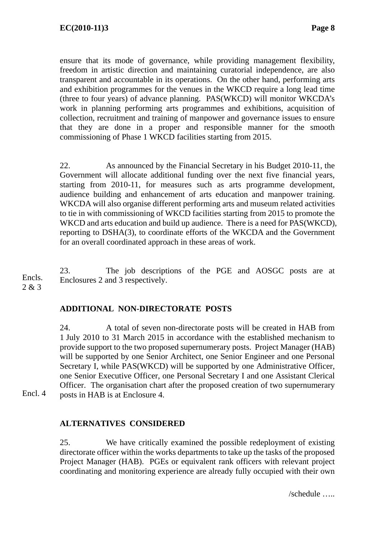ensure that its mode of governance, while providing management flexibility, freedom in artistic direction and maintaining curatorial independence, are also transparent and accountable in its operations. On the other hand, performing arts and exhibition programmes for the venues in the WKCD require a long lead time (three to four years) of advance planning. PAS(WKCD) will monitor WKCDA's work in planning performing arts programmes and exhibitions, acquisition of collection, recruitment and training of manpower and governance issues to ensure that they are done in a proper and responsible manner for the smooth commissioning of Phase 1 WKCD facilities starting from 2015.

22. As announced by the Financial Secretary in his Budget 2010-11, the Government will allocate additional funding over the next five financial years, starting from 2010-11, for measures such as arts programme development, audience building and enhancement of arts education and manpower training. WKCDA will also organise different performing arts and museum related activities to tie in with commissioning of WKCD facilities starting from 2015 to promote the WKCD and arts education and build up audience. There is a need for PAS(WKCD), reporting to DSHA(3), to coordinate efforts of the WKCDA and the Government for an overall coordinated approach in these areas of work.

23. The job descriptions of the PGE and AOSGC posts are at Enclosures 2 and 3 respectively. Encls. 2 & 3

# **ADDITIONAL NON-DIRECTORATE POSTS**

24. A total of seven non-directorate posts will be created in HAB from 1 July 2010 to 31 March 2015 in accordance with the established mechanism to provide support to the two proposed supernumerary posts. Project Manager (HAB) will be supported by one Senior Architect, one Senior Engineer and one Personal Secretary I, while PAS(WKCD) will be supported by one Administrative Officer, one Senior Executive Officer, one Personal Secretary I and one Assistant Clerical Officer. The organisation chart after the proposed creation of two supernumerary posts in HAB is at Enclosure 4.

Encl. 4

# **ALTERNATIVES CONSIDERED**

25. We have critically examined the possible redeployment of existing directorate officer within the works departments to take up the tasks of the proposed Project Manager (HAB). PGEs or equivalent rank officers with relevant project coordinating and monitoring experience are already fully occupied with their own

/schedule …..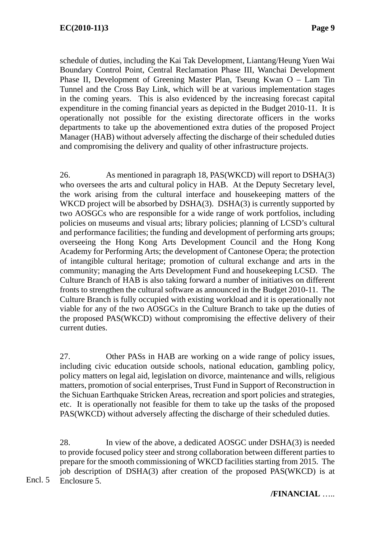schedule of duties, including the Kai Tak Development, Liantang/Heung Yuen Wai Boundary Control Point, Central Reclamation Phase III, Wanchai Development Phase II, Development of Greening Master Plan, Tseung Kwan O – Lam Tin Tunnel and the Cross Bay Link, which will be at various implementation stages in the coming years. This is also evidenced by the increasing forecast capital expenditure in the coming financial years as depicted in the Budget 2010-11. It is operationally not possible for the existing directorate officers in the works departments to take up the abovementioned extra duties of the proposed Project Manager (HAB) without adversely affecting the discharge of their scheduled duties and compromising the delivery and quality of other infrastructure projects.

26. As mentioned in paragraph 18, PAS(WKCD) will report to DSHA(3) who oversees the arts and cultural policy in HAB. At the Deputy Secretary level, the work arising from the cultural interface and housekeeping matters of the WKCD project will be absorbed by DSHA(3). DSHA(3) is currently supported by two AOSGCs who are responsible for a wide range of work portfolios, including policies on museums and visual arts; library policies; planning of LCSD's cultural and performance facilities; the funding and development of performing arts groups; overseeing the Hong Kong Arts Development Council and the Hong Kong Academy for Performing Arts; the development of Cantonese Opera; the protection of intangible cultural heritage; promotion of cultural exchange and arts in the community; managing the Arts Development Fund and housekeeping LCSD. The Culture Branch of HAB is also taking forward a number of initiatives on different fronts to strengthen the cultural software as announced in the Budget 2010-11. The Culture Branch is fully occupied with existing workload and it is operationally not viable for any of the two AOSGCs in the Culture Branch to take up the duties of the proposed PAS(WKCD) without compromising the effective delivery of their current duties.

27. Other PASs in HAB are working on a wide range of policy issues, including civic education outside schools, national education, gambling policy, policy matters on legal aid, legislation on divorce, maintenance and wills, religious matters, promotion of social enterprises, Trust Fund in Support of Reconstruction in the Sichuan Earthquake Stricken Areas, recreation and sport policies and strategies, etc. It is operationally not feasible for them to take up the tasks of the proposed PAS(WKCD) without adversely affecting the discharge of their scheduled duties.

28. In view of the above, a dedicated AOSGC under DSHA(3) is needed to provide focused policy steer and strong collaboration between different parties to prepare for the smooth commissioning of WKCD facilities starting from 2015. The job description of DSHA(3) after creation of the proposed PAS(WKCD) is at Enclosure 5.

Encl. 5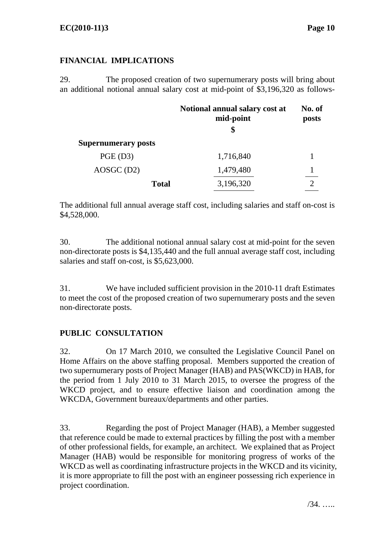# **FINANCIAL IMPLICATIONS**

29. The proposed creation of two supernumerary posts will bring about an additional notional annual salary cost at mid-point of \$3,196,320 as follows-

|                            | Notional annual salary cost at<br>mid-point<br>\$ | No. of<br>posts |  |  |  |
|----------------------------|---------------------------------------------------|-----------------|--|--|--|
| <b>Supernumerary posts</b> |                                                   |                 |  |  |  |
| $PGE$ (D3)                 | 1,716,840                                         |                 |  |  |  |
| $AOSGC$ (D2)               | 1,479,480                                         |                 |  |  |  |
| <b>Total</b>               | 3,196,320                                         | ◠               |  |  |  |

The additional full annual average staff cost, including salaries and staff on-cost is \$4,528,000.

30. The additional notional annual salary cost at mid-point for the seven non-directorate posts is \$4,135,440 and the full annual average staff cost, including salaries and staff on-cost, is \$5,623,000.

31. We have included sufficient provision in the 2010-11 draft Estimates to meet the cost of the proposed creation of two supernumerary posts and the seven non-directorate posts.

# **PUBLIC CONSULTATION**

32. On 17 March 2010, we consulted the Legislative Council Panel on Home Affairs on the above staffing proposal. Members supported the creation of two supernumerary posts of Project Manager (HAB) and PAS(WKCD) in HAB, for the period from 1 July 2010 to 31 March 2015, to oversee the progress of the WKCD project, and to ensure effective liaison and coordination among the WKCDA, Government bureaux/departments and other parties.

33. Regarding the post of Project Manager (HAB), a Member suggested that reference could be made to external practices by filling the post with a member of other professional fields, for example, an architect. We explained that as Project Manager (HAB) would be responsible for monitoring progress of works of the WKCD as well as coordinating infrastructure projects in the WKCD and its vicinity, it is more appropriate to fill the post with an engineer possessing rich experience in project coordination.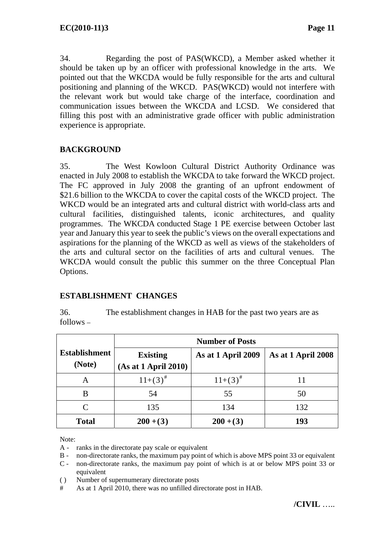34. Regarding the post of PAS(WKCD), a Member asked whether it should be taken up by an officer with professional knowledge in the arts. We pointed out that the WKCDA would be fully responsible for the arts and cultural positioning and planning of the WKCD. PAS(WKCD) would not interfere with the relevant work but would take charge of the interface, coordination and communication issues between the WKCDA and LCSD. We considered that filling this post with an administrative grade officer with public administration experience is appropriate.

# **BACKGROUND**

35. The West Kowloon Cultural District Authority Ordinance was enacted in July 2008 to establish the WKCDA to take forward the WKCD project. The FC approved in July 2008 the granting of an upfront endowment of \$21.6 billion to the WKCDA to cover the capital costs of the WKCD project. The WKCD would be an integrated arts and cultural district with world-class arts and cultural facilities, distinguished talents, iconic architectures, and quality programmes. The WKCDA conducted Stage 1 PE exercise between October last year and January this year to seek the public's views on the overall expectations and aspirations for the planning of the WKCD as well as views of the stakeholders of the arts and cultural sector on the facilities of arts and cultural venues. The WKCDA would consult the public this summer on the three Conceptual Plan Options.

#### **ESTABLISHMENT CHANGES**

36. The establishment changes in HAB for the past two years are as follows –

|                                | <b>Number of Posts</b>                  |                    |                    |
|--------------------------------|-----------------------------------------|--------------------|--------------------|
| <b>Establishment</b><br>(Note) | <b>Existing</b><br>(As at 1 April 2010) | As at 1 April 2009 | As at 1 April 2008 |
| А                              | $11+(3)^{\#}$                           | $11+(3)^{\#}$      | 11                 |
| В                              | 54                                      | 55                 | 50                 |
| C                              | 135                                     | 134                | 132                |
| <b>Total</b>                   | $200+(3)$                               | $200+(3)$          | 193                |

Note:

- A ranks in the directorate pay scale or equivalent
- B non-directorate ranks, the maximum pay point of which is above MPS point 33 or equivalent
- C non-directorate ranks, the maximum pay point of which is at or below MPS point 33 or equivalent
- ( ) Number of supernumerary directorate posts
- # As at 1 April 2010, there was no unfilled directorate post in HAB.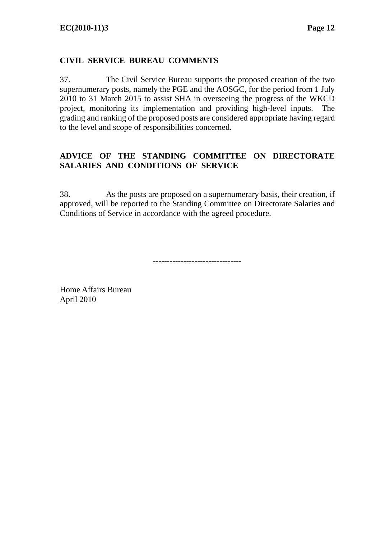# **CIVIL SERVICE BUREAU COMMENTS**

37. The Civil Service Bureau supports the proposed creation of the two supernumerary posts, namely the PGE and the AOSGC, for the period from 1 July 2010 to 31 March 2015 to assist SHA in overseeing the progress of the WKCD project, monitoring its implementation and providing high-level inputs. The grading and ranking of the proposed posts are considered appropriate having regard to the level and scope of responsibilities concerned.

# **ADVICE OF THE STANDING COMMITTEE ON DIRECTORATE SALARIES AND CONDITIONS OF SERVICE**

38. As the posts are proposed on a supernumerary basis, their creation, if approved, will be reported to the Standing Committee on Directorate Salaries and Conditions of Service in accordance with the agreed procedure.

--------------------------------

Home Affairs Bureau April 2010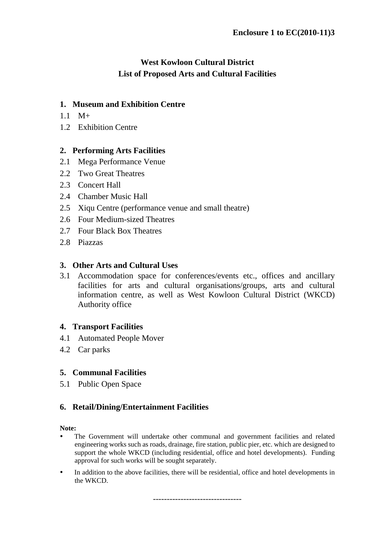# **West Kowloon Cultural District List of Proposed Arts and Cultural Facilities**

### **1. Museum and Exhibition Centre**

- 1.1 M+
- 1.2 Exhibition Centre

### **2. Performing Arts Facilities**

- 2.1 Mega Performance Venue
- 2.2 Two Great Theatres
- 2.3 Concert Hall
- 2.4 Chamber Music Hall
- 2.5 Xiqu Centre (performance venue and small theatre)
- 2.6 Four Medium-sized Theatres
- 2.7 Four Black Box Theatres
- 2.8 Piazzas

#### **3. Other Arts and Cultural Uses**

3.1 Accommodation space for conferences/events etc., offices and ancillary facilities for arts and cultural organisations/groups, arts and cultural information centre, as well as West Kowloon Cultural District (WKCD) Authority office

#### **4. Transport Facilities**

- 4.1 Automated People Mover
- 4.2 Car parks

#### **5. Communal Facilities**

5.1 Public Open Space

# **6. Retail/Dining/Entertainment Facilities**

#### **Note:**

- The Government will undertake other communal and government facilities and related engineering works such as roads, drainage, fire station, public pier, etc. which are designed to support the whole WKCD (including residential, office and hotel developments). Funding approval for such works will be sought separately.
- In addition to the above facilities, there will be residential, office and hotel developments in the WKCD.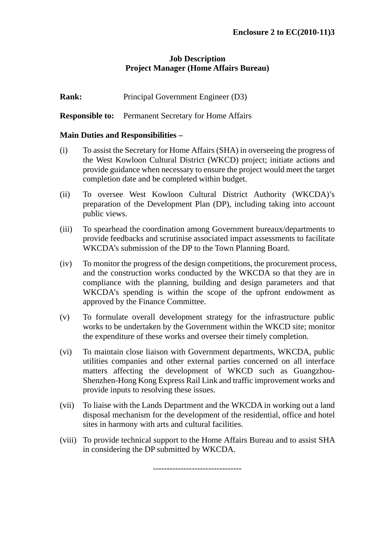### **Job Description Project Manager (Home Affairs Bureau)**

**Rank:** Principal Government Engineer (D3)

**Responsible to:** Permanent Secretary for Home Affairs

#### **Main Duties and Responsibilities –**

- (i) To assist the Secretary for Home Affairs (SHA) in overseeing the progress of the West Kowloon Cultural District (WKCD) project; initiate actions and provide guidance when necessary to ensure the project would meet the target completion date and be completed within budget.
- (ii) To oversee West Kowloon Cultural District Authority (WKCDA)'s preparation of the Development Plan (DP), including taking into account public views.
- (iii) To spearhead the coordination among Government bureaux/departments to provide feedbacks and scrutinise associated impact assessments to facilitate WKCDA's submission of the DP to the Town Planning Board.
- (iv) To monitor the progress of the design competitions, the procurement process, and the construction works conducted by the WKCDA so that they are in compliance with the planning, building and design parameters and that WKCDA's spending is within the scope of the upfront endowment as approved by the Finance Committee.
- (v) To formulate overall development strategy for the infrastructure public works to be undertaken by the Government within the WKCD site; monitor the expenditure of these works and oversee their timely completion.
- (vi) To maintain close liaison with Government departments, WKCDA, public utilities companies and other external parties concerned on all interface matters affecting the development of WKCD such as Guangzhou-Shenzhen-Hong Kong Express Rail Link and traffic improvement works and provide inputs to resolving these issues.
- (vii) To liaise with the Lands Department and the WKCDA in working out a land disposal mechanism for the development of the residential, office and hotel sites in harmony with arts and cultural facilities.
- (viii) To provide technical support to the Home Affairs Bureau and to assist SHA in considering the DP submitted by WKCDA.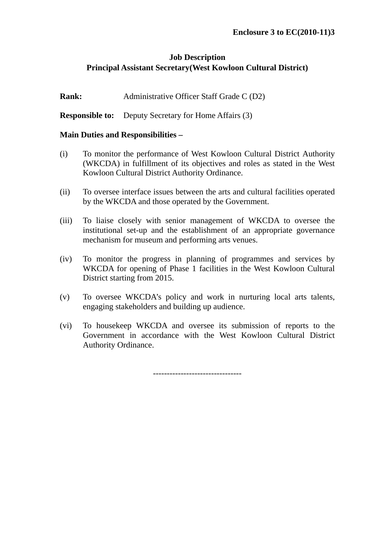# **Job Description Principal Assistant Secretary(West Kowloon Cultural District)**

**Rank:** Administrative Officer Staff Grade C (D2)

**Responsible to:** Deputy Secretary for Home Affairs (3)

#### **Main Duties and Responsibilities –**

- (i) To monitor the performance of West Kowloon Cultural District Authority (WKCDA) in fulfillment of its objectives and roles as stated in the West Kowloon Cultural District Authority Ordinance.
- (ii) To oversee interface issues between the arts and cultural facilities operated by the WKCDA and those operated by the Government.
- (iii) To liaise closely with senior management of WKCDA to oversee the institutional set-up and the establishment of an appropriate governance mechanism for museum and performing arts venues.
- (iv) To monitor the progress in planning of programmes and services by WKCDA for opening of Phase 1 facilities in the West Kowloon Cultural District starting from 2015.
- (v) To oversee WKCDA's policy and work in nurturing local arts talents, engaging stakeholders and building up audience.
- (vi) To housekeep WKCDA and oversee its submission of reports to the Government in accordance with the West Kowloon Cultural District Authority Ordinance.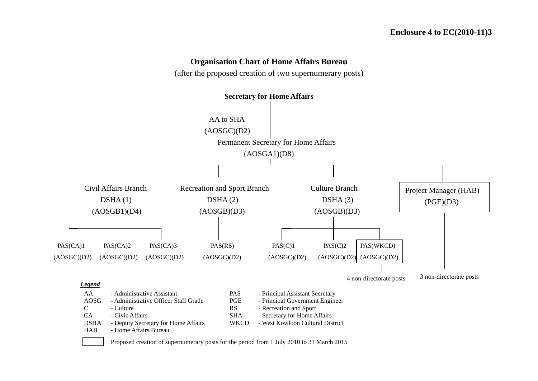#### **Organisation Chart of Home Affairs Bureau**

(after the proposed creation of two supernumerary posts)



Proposed creation of supernumerary posts for the period from 1 July 2010 to 31 March 2015